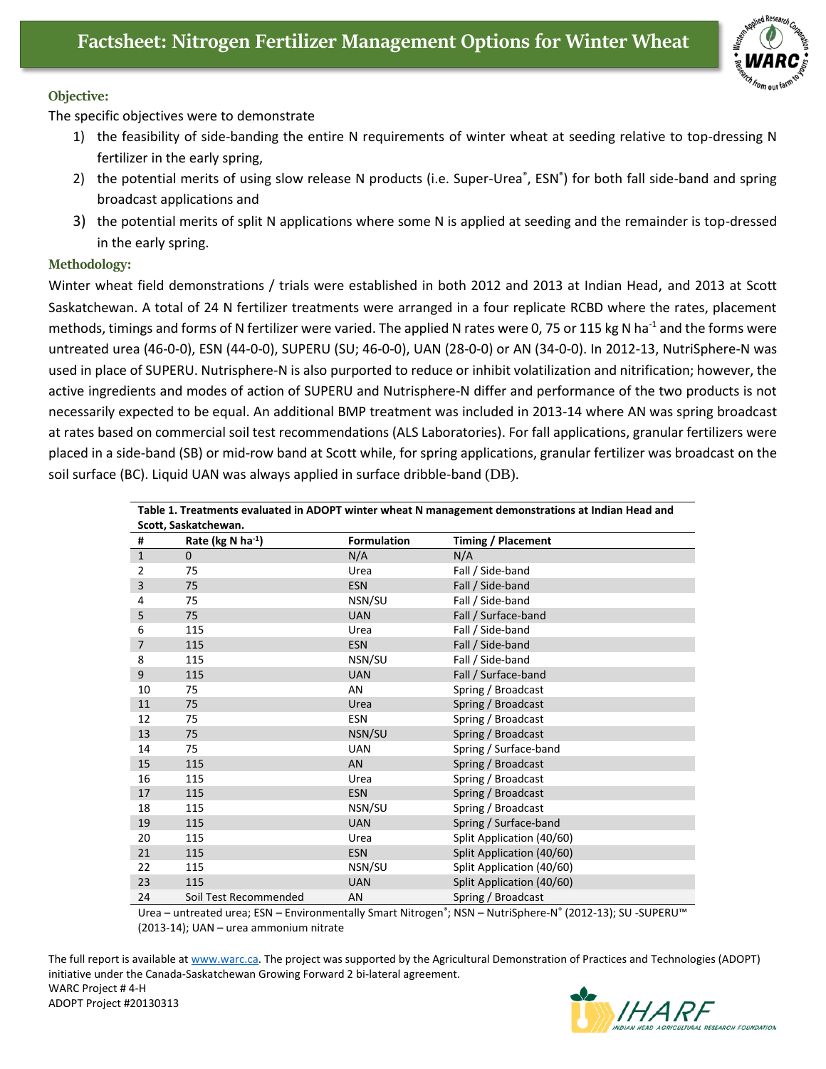

## **Objective:**

The specific objectives were to demonstrate

- 1) the feasibility of side-banding the entire N requirements of winter wheat at seeding relative to top-dressing N fertilizer in the early spring,
- 2) the potential merits of using slow release N products (i.e. Super-Urea®, ESN®) for both fall side-band and spring broadcast applications and
- 3) the potential merits of split N applications where some N is applied at seeding and the remainder is top-dressed in the early spring.

## **Methodology:**

Winter wheat field demonstrations / trials were established in both 2012 and 2013 at Indian Head, and 2013 at Scott Saskatchewan. A total of 24 N fertilizer treatments were arranged in a four replicate RCBD where the rates, placement methods, timings and forms of N fertilizer were varied. The applied N rates were 0, 75 or 115 kg N ha<sup>-1</sup> and the forms were untreated urea (46-0-0), ESN (44-0-0), SUPERU (SU; 46-0-0), UAN (28-0-0) or AN (34-0-0). In 2012-13, NutriSphere-N was used in place of SUPERU. Nutrisphere-N is also purported to reduce or inhibit volatilization and nitrification; however, the active ingredients and modes of action of SUPERU and Nutrisphere-N differ and performance of the two products is not necessarily expected to be equal. An additional BMP treatment was included in 2013-14 where AN was spring broadcast at rates based on commercial soil test recommendations (ALS Laboratories). For fall applications, granular fertilizers were placed in a side-band (SB) or mid-row band at Scott while, for spring applications, granular fertilizer was broadcast on the soil surface (BC). Liquid UAN was always applied in surface dribble-band (DB).

| Table 1. Treatments evaluated in ADOPT winter wheat N management demonstrations at Indian Head and |                                  |                    |                           |
|----------------------------------------------------------------------------------------------------|----------------------------------|--------------------|---------------------------|
| Scott, Saskatchewan.                                                                               |                                  |                    |                           |
| #                                                                                                  | Rate ( $kg$ N ha <sup>-1</sup> ) | <b>Formulation</b> | Timing / Placement        |
| $\mathbf{1}$                                                                                       | $\mathbf 0$                      | N/A                | N/A                       |
| $\overline{2}$                                                                                     | 75                               | Urea               | Fall / Side-band          |
| 3                                                                                                  | 75                               | <b>ESN</b>         | Fall / Side-band          |
| 4                                                                                                  | 75                               | NSN/SU             | Fall / Side-band          |
| 5                                                                                                  | 75                               | <b>UAN</b>         | Fall / Surface-band       |
| 6                                                                                                  | 115                              | Urea               | Fall / Side-band          |
| $\overline{7}$                                                                                     | 115                              | <b>ESN</b>         | Fall / Side-band          |
| 8                                                                                                  | 115                              | NSN/SU             | Fall / Side-band          |
| 9                                                                                                  | 115                              | <b>UAN</b>         | Fall / Surface-band       |
| 10                                                                                                 | 75                               | AN                 | Spring / Broadcast        |
| 11                                                                                                 | 75                               | Urea               | Spring / Broadcast        |
| 12                                                                                                 | 75                               | <b>ESN</b>         | Spring / Broadcast        |
| 13                                                                                                 | 75                               | NSN/SU             | Spring / Broadcast        |
| 14                                                                                                 | 75                               | <b>UAN</b>         | Spring / Surface-band     |
| 15                                                                                                 | 115                              | AN                 | Spring / Broadcast        |
| 16                                                                                                 | 115                              | Urea               | Spring / Broadcast        |
| 17                                                                                                 | 115                              | <b>ESN</b>         | Spring / Broadcast        |
| 18                                                                                                 | 115                              | NSN/SU             | Spring / Broadcast        |
| 19                                                                                                 | 115                              | <b>UAN</b>         | Spring / Surface-band     |
| 20                                                                                                 | 115                              | Urea               | Split Application (40/60) |
| 21                                                                                                 | 115                              | <b>ESN</b>         | Split Application (40/60) |
| 22                                                                                                 | 115                              | NSN/SU             | Split Application (40/60) |
| 23                                                                                                 | 115                              | <b>UAN</b>         | Split Application (40/60) |
| 24                                                                                                 | Soil Test Recommended            | AN                 | Spring / Broadcast        |

Urea – untreated urea; ESN – Environmentally Smart Nitrogen®; NSN – NutriSphere-N® (2012-13); SU -SUPERU™ (2013-14); UAN – urea ammonium nitrate

The full report is available at [www.warc.ca.](http://www.warc.ca/) The project was supported by the Agricultural Demonstration of Practices and Technologies (ADOPT) initiative under the Canada-Saskatchewan Growing Forward 2 bi-lateral agreement. WARC Project # 4-H ADOPT Project #20130313